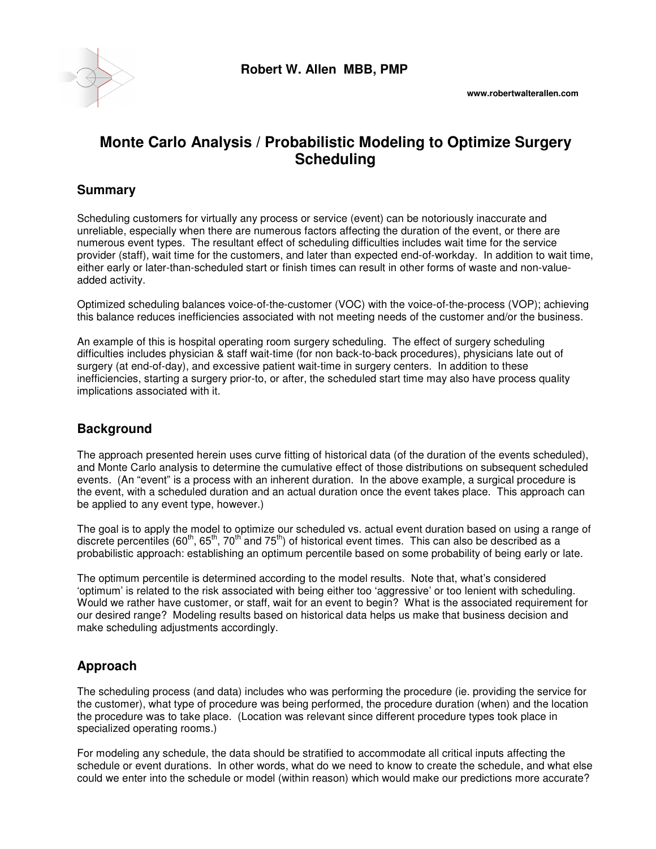

# **Monte Carlo Analysis / Probabilistic Modeling to Optimize Surgery Scheduling**

#### **Summary**

Scheduling customers for virtually any process or service (event) can be notoriously inaccurate and unreliable, especially when there are numerous factors affecting the duration of the event, or there are numerous event types. The resultant effect of scheduling difficulties includes wait time for the service provider (staff), wait time for the customers, and later than expected end-of-workday. In addition to wait time, either early or later-than-scheduled start or finish times can result in other forms of waste and non-valueadded activity.

Optimized scheduling balances voice-of-the-customer (VOC) with the voice-of-the-process (VOP); achieving this balance reduces inefficiencies associated with not meeting needs of the customer and/or the business.

An example of this is hospital operating room surgery scheduling. The effect of surgery scheduling difficulties includes physician & staff wait-time (for non back-to-back procedures), physicians late out of surgery (at end-of-day), and excessive patient wait-time in surgery centers. In addition to these inefficiencies, starting a surgery prior-to, or after, the scheduled start time may also have process quality implications associated with it.

## **Background**

The approach presented herein uses curve fitting of historical data (of the duration of the events scheduled), and Monte Carlo analysis to determine the cumulative effect of those distributions on subsequent scheduled events. (An "event" is a process with an inherent duration. In the above example, a surgical procedure is the event, with a scheduled duration and an actual duration once the event takes place. This approach can be applied to any event type, however.)

The goal is to apply the model to optimize our scheduled vs. actual event duration based on using a range of discrete percentiles (60<sup>th</sup>, 65<sup>th</sup>, 70<sup>th</sup> and 75<sup>th</sup>) of historical event times. This can also be described as a probabilistic approach: establishing an optimum percentile based on some probability of being early or late.

The optimum percentile is determined according to the model results. Note that, what's considered 'optimum' is related to the risk associated with being either too 'aggressive' or too lenient with scheduling. Would we rather have customer, or staff, wait for an event to begin? What is the associated requirement for our desired range? Modeling results based on historical data helps us make that business decision and make scheduling adjustments accordingly.

## **Approach**

The scheduling process (and data) includes who was performing the procedure (ie. providing the service for the customer), what type of procedure was being performed, the procedure duration (when) and the location the procedure was to take place. (Location was relevant since different procedure types took place in specialized operating rooms.)

For modeling any schedule, the data should be stratified to accommodate all critical inputs affecting the schedule or event durations. In other words, what do we need to know to create the schedule, and what else could we enter into the schedule or model (within reason) which would make our predictions more accurate?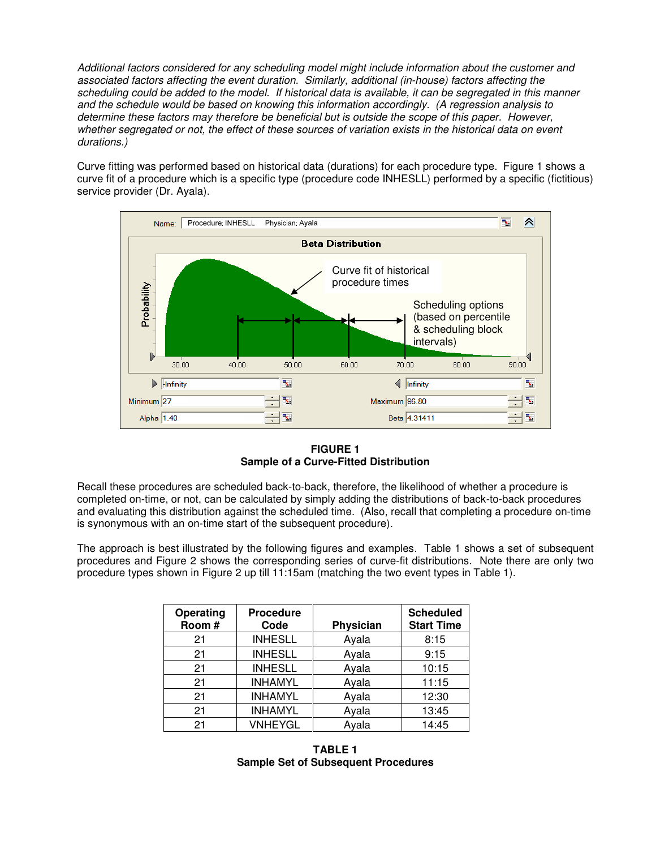Additional factors considered for any scheduling model might include information about the customer and associated factors affecting the event duration. Similarly, additional (in-house) factors affecting the scheduling could be added to the model. If historical data is available, it can be segregated in this manner and the schedule would be based on knowing this information accordingly. (A regression analysis to determine these factors may therefore be beneficial but is outside the scope of this paper. However, whether segregated or not, the effect of these sources of variation exists in the historical data on event durations.)

Curve fitting was performed based on historical data (durations) for each procedure type. Figure 1 shows a curve fit of a procedure which is a specific type (procedure code INHESLL) performed by a specific (fictitious) service provider (Dr. Ayala).



**FIGURE 1 Sample of a Curve-Fitted Distribution** 

Recall these procedures are scheduled back-to-back, therefore, the likelihood of whether a procedure is completed on-time, or not, can be calculated by simply adding the distributions of back-to-back procedures and evaluating this distribution against the scheduled time. (Also, recall that completing a procedure on-time is synonymous with an on-time start of the subsequent procedure).

The approach is best illustrated by the following figures and examples. Table 1 shows a set of subsequent procedures and Figure 2 shows the corresponding series of curve-fit distributions. Note there are only two procedure types shown in Figure 2 up till 11:15am (matching the two event types in Table 1).

| Operating<br>Room# | <b>Procedure</b><br>Code | Physician | <b>Scheduled</b><br><b>Start Time</b> |
|--------------------|--------------------------|-----------|---------------------------------------|
| 21                 | <b>INHESLL</b>           | Ayala     | 8:15                                  |
| 21                 | <b>INHESLL</b>           | Ayala     | 9:15                                  |
| 21                 | <b>INHESLL</b>           | Ayala     | 10:15                                 |
| 21                 | <b>INHAMYL</b>           | Ayala     | 11:15                                 |
| 21                 | <b>INHAMYL</b>           | Ayala     | 12:30                                 |
| 21                 | <b>INHAMYL</b>           | Ayala     | 13:45                                 |
| 21                 | <b>VNHEYGL</b>           | Ayala     | 14:45                                 |

**TABLE 1 Sample Set of Subsequent Procedures**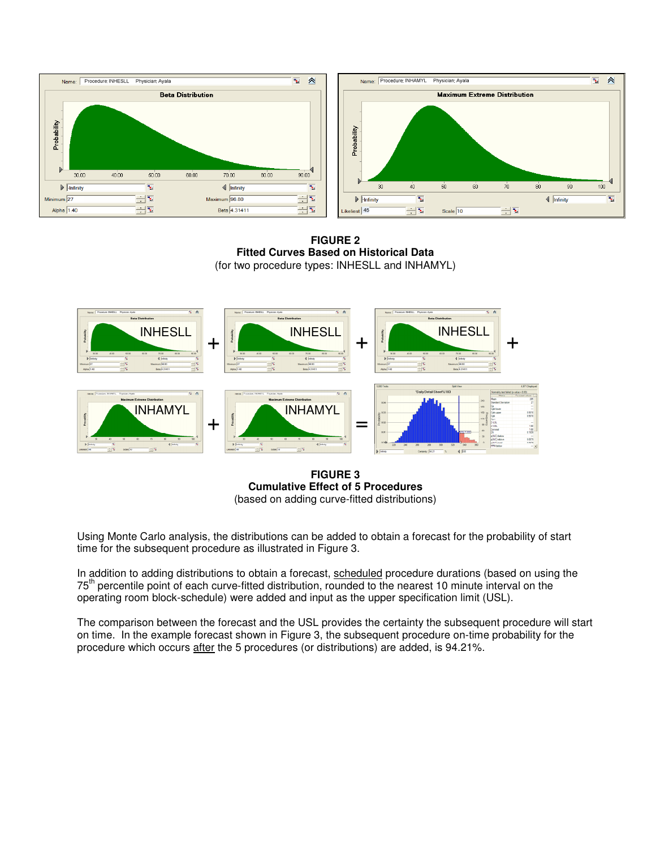



**FIGURE 2 Fitted Curves Based on Historical Data**  (for two procedure types: INHESLL and INHAMYL)



#### **FIGURE 3 Cumulative Effect of 5 Procedures**  (based on adding curve-fitted distributions)

Using Monte Carlo analysis, the distributions can be added to obtain a forecast for the probability of start time for the subsequent procedure as illustrated in Figure 3.

In addition to adding distributions to obtain a forecast, scheduled procedure durations (based on using the 75<sup>th</sup> percentile point of each curve-fitted distribution, rounded to the nearest 10 minute interval on the operating room block-schedule) were added and input as the upper specification limit (USL).

The comparison between the forecast and the USL provides the certainty the subsequent procedure will start on time. In the example forecast shown in Figure 3, the subsequent procedure on-time probability for the procedure which occurs after the 5 procedures (or distributions) are added, is 94.21%.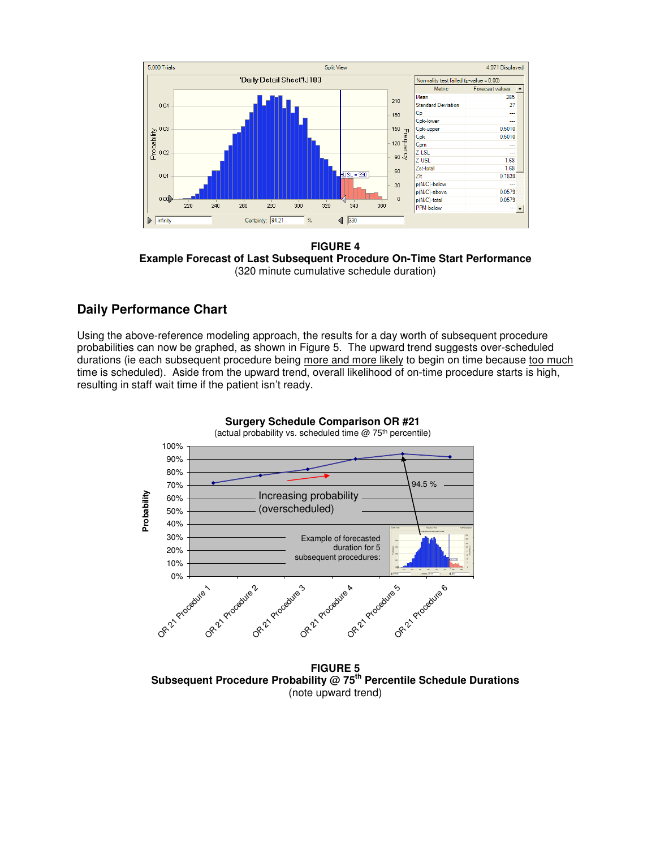

**FIGURE 4 Example Forecast of Last Subsequent Procedure On-Time Start Performance**  (320 minute cumulative schedule duration)

#### **Daily Performance Chart**

Using the above-reference modeling approach, the results for a day worth of subsequent procedure probabilities can now be graphed, as shown in Figure 5. The upward trend suggests over-scheduled durations (ie each subsequent procedure being more and more likely to begin on time because too much time is scheduled). Aside from the upward trend, overall likelihood of on-time procedure starts is high, resulting in staff wait time if the patient isn't ready.



**Surgery Schedule Comparison Surgery Schedule Comparison OR #21**

**FIGURE 5 Subsequent Procedure Probability @ 75th Percentile Schedule Durations**  (note upward trend)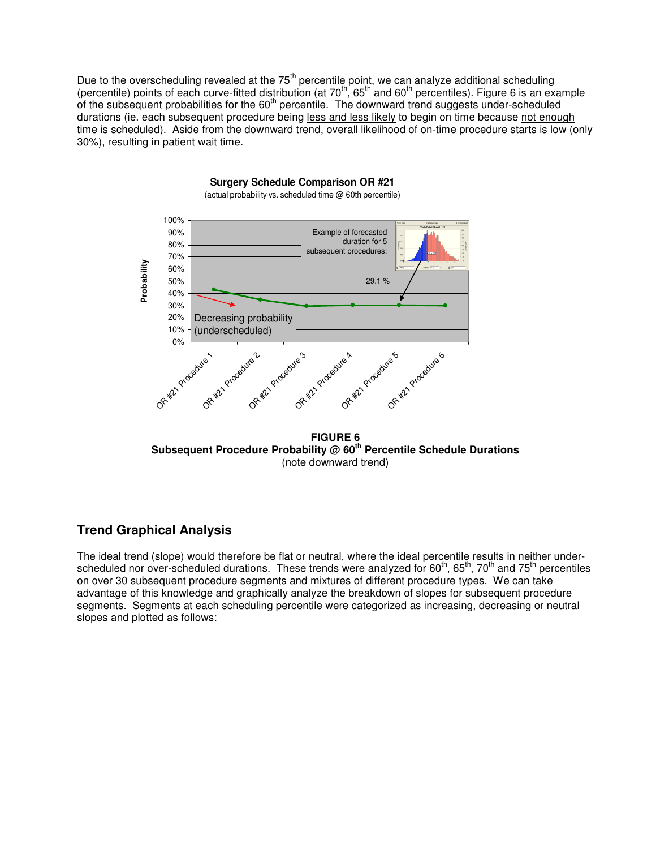Due to the overscheduling revealed at the 75<sup>th</sup> percentile point, we can analyze additional scheduling (percentile) points of each curve-fitted distribution (at  $70^{th}$ ,  $65^{th}$  and  $60^{th}$  percentiles). Figure 6 is an example of the subsequent probabilities for the  $60<sup>th</sup>$  percentile. The downward trend suggests under-scheduled durations (ie. each subsequent procedure being less and less likely to begin on time because not enough time is scheduled). Aside from the downward trend, overall likelihood of on-time procedure starts is low (only 30%), resulting in patient wait time.



**Surgery Schedule Comparison OR #21** (actual probability vs. scheduled time @ 60th percentile)

**FIGURE 6 Subsequent Procedure Probability @ 60th Percentile Schedule Durations**  (note downward trend)

#### **Trend Graphical Analysis**

The ideal trend (slope) would therefore be flat or neutral, where the ideal percentile results in neither underscheduled nor over-scheduled durations. These trends were analyzed for 60<sup>th</sup>, 65<sup>th</sup>, 70<sup>th</sup> and 75<sup>th</sup> percentiles on over 30 subsequent procedure segments and mixtures of different procedure types. We can take advantage of this knowledge and graphically analyze the breakdown of slopes for subsequent procedure segments. Segments at each scheduling percentile were categorized as increasing, decreasing or neutral slopes and plotted as follows: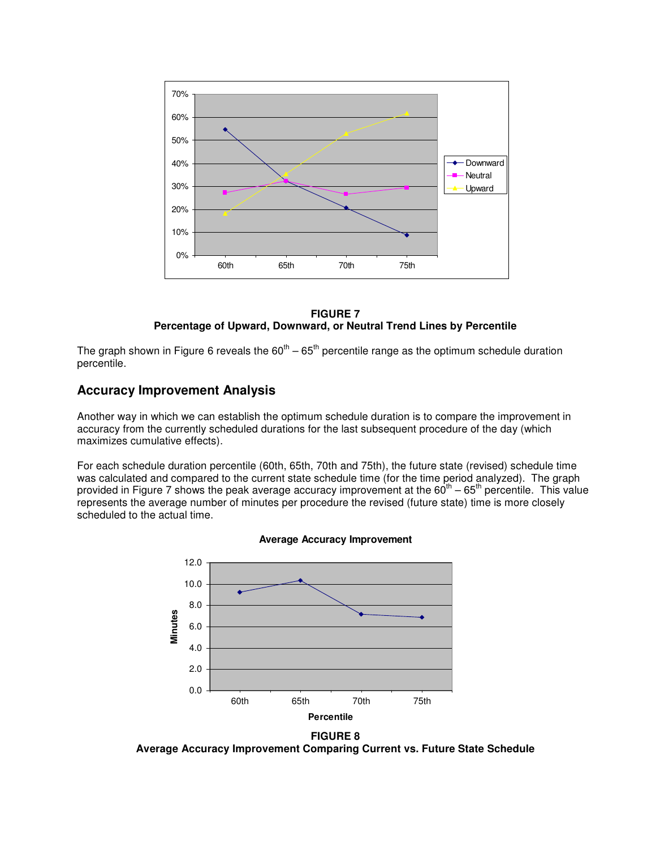

**FIGURE 7 Percentage of Upward, Downward, or Neutral Trend Lines by Percentile**

The graph shown in Figure 6 reveals the  $60^{th} - 65^{th}$  percentile range as the optimum schedule duration percentile.

#### **Accuracy Improvement Analysis**

Another way in which we can establish the optimum schedule duration is to compare the improvement in accuracy from the currently scheduled durations for the last subsequent procedure of the day (which maximizes cumulative effects).

For each schedule duration percentile (60th, 65th, 70th and 75th), the future state (revised) schedule time was calculated and compared to the current state schedule time (for the time period analyzed). The graph provided in Figure 7 shows the peak average accuracy improvement at the  $60^{th} - 65^{th}$  percentile. This value represents the average number of minutes per procedure the revised (future state) time is more closely scheduled to the actual time.





**Average Accuracy Improvement Comparing Current vs. Future State Schedule**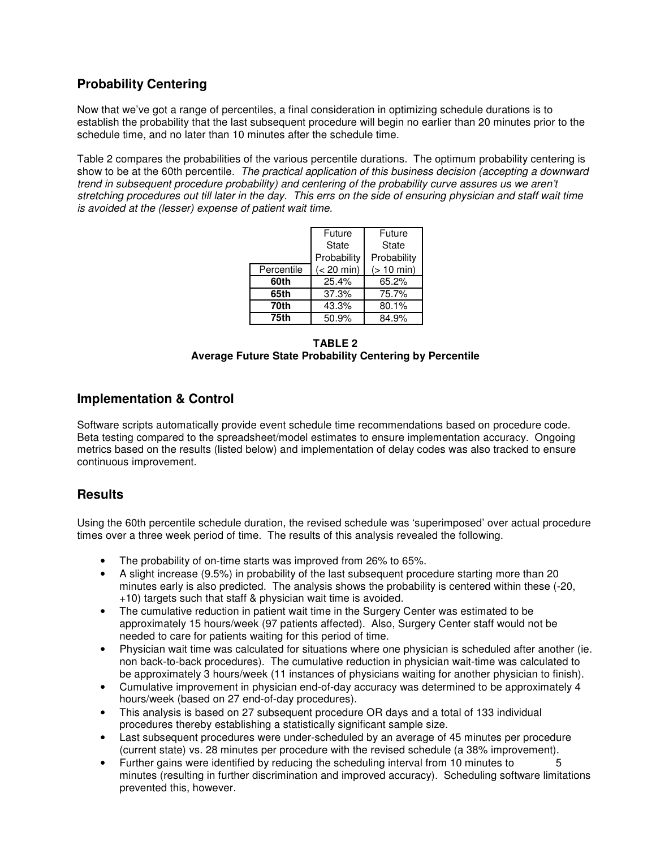## **Probability Centering**

Now that we've got a range of percentiles, a final consideration in optimizing schedule durations is to establish the probability that the last subsequent procedure will begin no earlier than 20 minutes prior to the schedule time, and no later than 10 minutes after the schedule time.

Table 2 compares the probabilities of the various percentile durations. The optimum probability centering is show to be at the 60th percentile. The practical application of this business decision (accepting a downward trend in subsequent procedure probability) and centering of the probability curve assures us we aren't stretching procedures out till later in the day. This errs on the side of ensuring physician and staff wait time is avoided at the (lesser) expense of patient wait time.

|            | Future       | Future       |  |
|------------|--------------|--------------|--|
|            | State        | State        |  |
|            | Probability  | Probability  |  |
| Percentile | $(< 20$ min) | $(> 10$ min) |  |
| 60th       | 25.4%        | 65.2%        |  |
| 65th       | 37.3%        | 75.7%        |  |
| 70th       | 43.3%        | 80.1%        |  |
| 75th       | 50.9%        | 84.9%        |  |

**TABLE 2 Average Future State Probability Centering by Percentile** 

#### **Implementation & Control**

Software scripts automatically provide event schedule time recommendations based on procedure code. Beta testing compared to the spreadsheet/model estimates to ensure implementation accuracy. Ongoing metrics based on the results (listed below) and implementation of delay codes was also tracked to ensure continuous improvement.

### **Results**

Using the 60th percentile schedule duration, the revised schedule was 'superimposed' over actual procedure times over a three week period of time. The results of this analysis revealed the following.

- The probability of on-time starts was improved from 26% to 65%.
- A slight increase (9.5%) in probability of the last subsequent procedure starting more than 20 minutes early is also predicted. The analysis shows the probability is centered within these (-20, +10) targets such that staff & physician wait time is avoided.
- The cumulative reduction in patient wait time in the Surgery Center was estimated to be approximately 15 hours/week (97 patients affected). Also, Surgery Center staff would not be needed to care for patients waiting for this period of time.
- Physician wait time was calculated for situations where one physician is scheduled after another (ie. non back-to-back procedures). The cumulative reduction in physician wait-time was calculated to be approximately 3 hours/week (11 instances of physicians waiting for another physician to finish).
- Cumulative improvement in physician end-of-day accuracy was determined to be approximately 4 hours/week (based on 27 end-of-day procedures).
- This analysis is based on 27 subsequent procedure OR days and a total of 133 individual procedures thereby establishing a statistically significant sample size.
- Last subsequent procedures were under-scheduled by an average of 45 minutes per procedure (current state) vs. 28 minutes per procedure with the revised schedule (a 38% improvement).
- Further gains were identified by reducing the scheduling interval from 10 minutes to 5 minutes (resulting in further discrimination and improved accuracy). Scheduling software limitations prevented this, however.